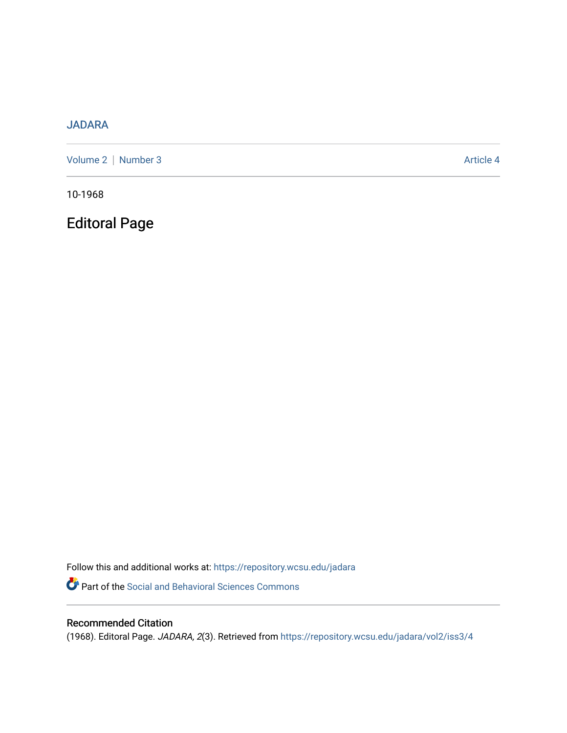## [JADARA](https://repository.wcsu.edu/jadara)

[Volume 2](https://repository.wcsu.edu/jadara/vol2) | [Number 3](https://repository.wcsu.edu/jadara/vol2/iss3) Article 4

10-1968

Editoral Page

Follow this and additional works at: [https://repository.wcsu.edu/jadara](https://repository.wcsu.edu/jadara?utm_source=repository.wcsu.edu%2Fjadara%2Fvol2%2Fiss3%2F4&utm_medium=PDF&utm_campaign=PDFCoverPages) Part of the [Social and Behavioral Sciences Commons](http://network.bepress.com/hgg/discipline/316?utm_source=repository.wcsu.edu%2Fjadara%2Fvol2%2Fiss3%2F4&utm_medium=PDF&utm_campaign=PDFCoverPages) 

## Recommended Citation

(1968). Editoral Page. JADARA, 2(3). Retrieved from [https://repository.wcsu.edu/jadara/vol2/iss3/4](https://repository.wcsu.edu/jadara/vol2/iss3/4?utm_source=repository.wcsu.edu%2Fjadara%2Fvol2%2Fiss3%2F4&utm_medium=PDF&utm_campaign=PDFCoverPages)